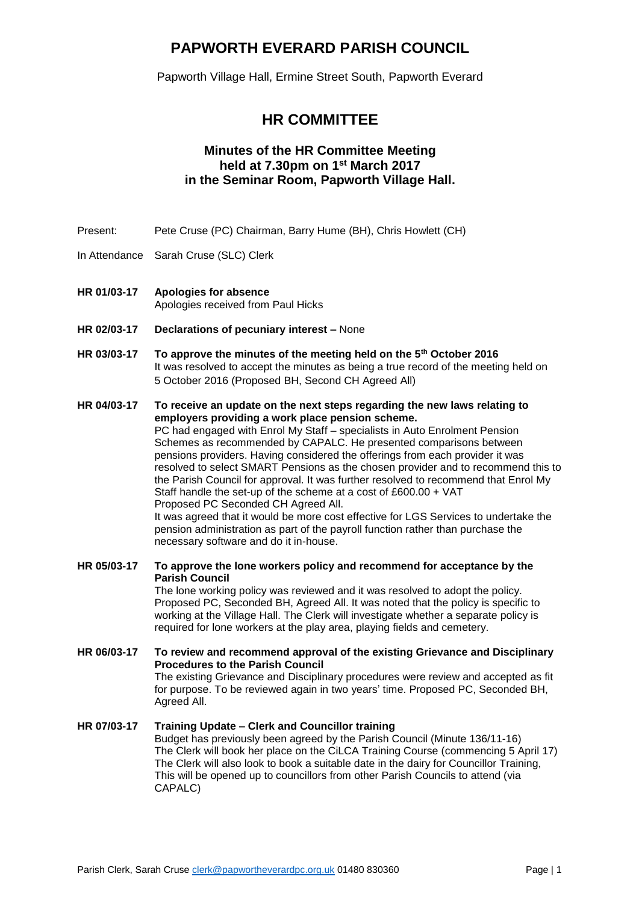## **PAPWORTH EVERARD PARISH COUNCIL**

Papworth Village Hall, Ermine Street South, Papworth Everard

## **HR COMMITTEE**

### **Minutes of the HR Committee Meeting held at 7.30pm on 1 st March 2017 in the Seminar Room, Papworth Village Hall.**

- Present: Pete Cruse (PC) Chairman, Barry Hume (BH), Chris Howlett (CH)
- In Attendance Sarah Cruse (SLC) Clerk
- **HR 01/03-17 Apologies for absence** Apologies received from Paul Hicks
- **HR 02/03-17 Declarations of pecuniary interest –** None
- **HR 03/03-17 To approve the minutes of the meeting held on the 5th October 2016** It was resolved to accept the minutes as being a true record of the meeting held on 5 October 2016 (Proposed BH, Second CH Agreed All)
- **HR 04/03-17 To receive an update on the next steps regarding the new laws relating to employers providing a work place pension scheme.** PC had engaged with Enrol My Staff – specialists in Auto Enrolment Pension

Schemes as recommended by CAPALC. He presented comparisons between pensions providers. Having considered the offerings from each provider it was resolved to select SMART Pensions as the chosen provider and to recommend this to the Parish Council for approval. It was further resolved to recommend that Enrol My Staff handle the set-up of the scheme at a cost of £600.00 + VAT Proposed PC Seconded CH Agreed All. It was agreed that it would be more cost effective for LGS Services to undertake the

pension administration as part of the payroll function rather than purchase the necessary software and do it in-house.

**HR 05/03-17 To approve the lone workers policy and recommend for acceptance by the Parish Council** 

The lone working policy was reviewed and it was resolved to adopt the policy. Proposed PC, Seconded BH, Agreed All. It was noted that the policy is specific to working at the Village Hall. The Clerk will investigate whether a separate policy is required for lone workers at the play area, playing fields and cemetery.

**HR 06/03-17 To review and recommend approval of the existing Grievance and Disciplinary Procedures to the Parish Council**  The existing Grievance and Disciplinary procedures were review and accepted as fit for purpose. To be reviewed again in two years' time. Proposed PC, Seconded BH,

Agreed All.

### **HR 07/03-17 Training Update – Clerk and Councillor training**

Budget has previously been agreed by the Parish Council (Minute 136/11-16) The Clerk will book her place on the CiLCA Training Course (commencing 5 April 17) The Clerk will also look to book a suitable date in the dairy for Councillor Training, This will be opened up to councillors from other Parish Councils to attend (via CAPALC)